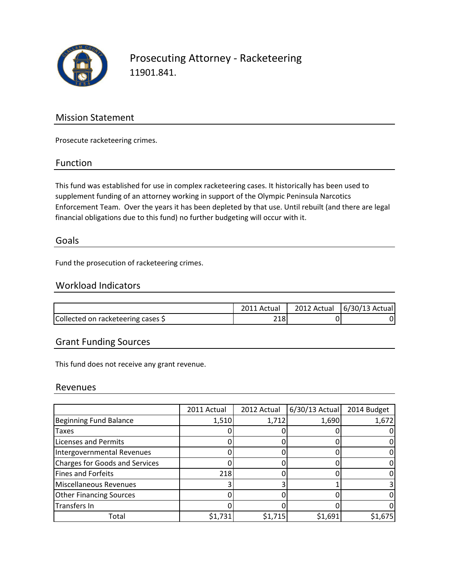

## Prosecuting Attorney - Racketeering 11901.841.

### Mission Statement

Prosecute racketeering crimes.

#### Function

This fund was established for use in complex racketeering cases. It historically has been used to supplement funding of an attorney working in support of the Olympic Peninsula Narcotics Enforcement Team. Over the years it has been depleted by that use. Until rebuilt (and there are legal financial obligations due to this fund) no further budgeting will occur with it.

#### Goals

Fund the prosecution of racketeering crimes.

#### Workload Indicators

|                                    | Actual | 2012 Actual | 6/30/13 Actual |
|------------------------------------|--------|-------------|----------------|
| Collected on racketeering cases \$ | 218    |             |                |

### Grant Funding Sources

This fund does not receive any grant revenue.

#### Revenues

|                                       | 2011 Actual | 2012 Actual | $6/30/13$ Actual | 2014 Budget |
|---------------------------------------|-------------|-------------|------------------|-------------|
| Beginning Fund Balance                | 1,510       | 1,712       | 1,690            | 1,672       |
| <b>Taxes</b>                          |             |             |                  |             |
| <b>Licenses and Permits</b>           |             |             |                  |             |
| Intergovernmental Revenues            |             |             |                  |             |
| <b>Charges for Goods and Services</b> |             |             |                  |             |
| Fines and Forfeits                    | 218         |             |                  |             |
| Miscellaneous Revenues                |             |             |                  |             |
| <b>Other Financing Sources</b>        |             |             |                  |             |
| Transfers In                          |             |             |                  |             |
| Total                                 | \$1,731     | \$1,715     | \$1,691          | \$1,675     |